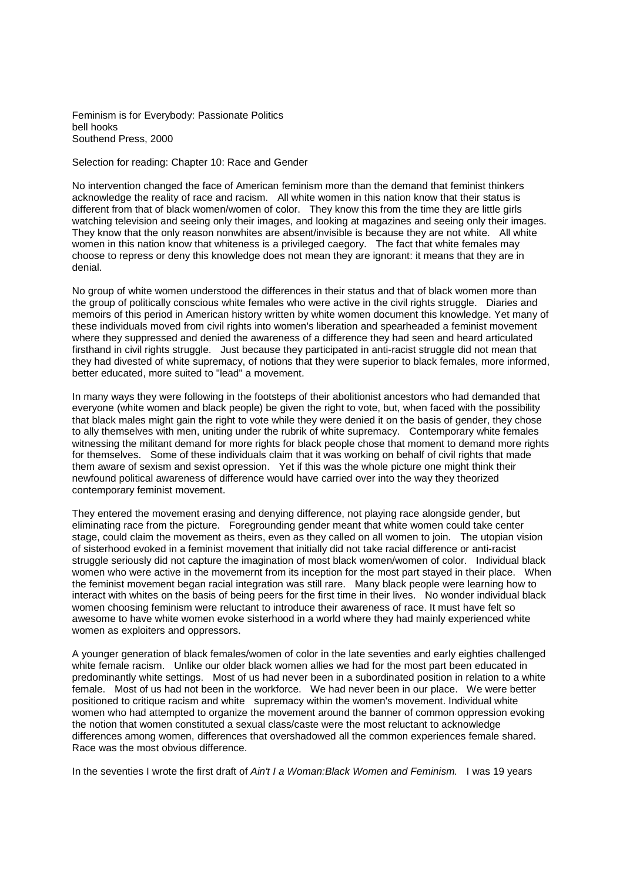Feminism is for Everybody: Passionate Politics bell hooks Southend Press, 2000

Selection for reading: Chapter 10: Race and Gender

No intervention changed the face of American feminism more than the demand that feminist thinkers acknowledge the reality of race and racism. All white women in this nation know that their status is different from that of black women/women of color. They know this from the time they are little girls watching television and seeing only their images, and looking at magazines and seeing only their images. They know that the only reason nonwhites are absent/invisible is because they are not white. All white women in this nation know that whiteness is a privileged caegory. The fact that white females may choose to repress or deny this knowledge does not mean they are ignorant: it means that they are in denial.

No group of white women understood the differences in their status and that of black women more than the group of politically conscious white females who were active in the civil rights struggle. Diaries and memoirs of this period in American history written by white women document this knowledge. Yet many of these individuals moved from civil rights into women's liberation and spearheaded a feminist movement where they suppressed and denied the awareness of a difference they had seen and heard articulated firsthand in civil rights struggle. Just because they participated in anti-racist struggle did not mean that they had divested of white supremacy, of notions that they were superior to black females, more informed, better educated, more suited to "lead" a movement.

In many ways they were following in the footsteps of their abolitionist ancestors who had demanded that everyone (white women and black people) be given the right to vote, but, when faced with the possibility that black males might gain the right to vote while they were denied it on the basis of gender, they chose to ally themselves with men, uniting under the rubrik of white supremacy. Contemporary white females witnessing the militant demand for more rights for black people chose that moment to demand more rights for themselves. Some of these individuals claim that it was working on behalf of civil rights that made them aware of sexism and sexist opression. Yet if this was the whole picture one might think their newfound political awareness of difference would have carried over into the way they theorized contemporary feminist movement.

They entered the movement erasing and denying difference, not playing race alongside gender, but eliminating race from the picture. Foregrounding gender meant that white women could take center stage, could claim the movement as theirs, even as they called on all women to join. The utopian vision of sisterhood evoked in a feminist movement that initially did not take racial difference or anti-racist struggle seriously did not capture the imagination of most black women/women of color. Individual black women who were active in the movemernt from its inception for the most part stayed in their place. When the feminist movement began racial integration was still rare. Many black people were learning how to interact with whites on the basis of being peers for the first time in their lives. No wonder individual black women choosing feminism were reluctant to introduce their awareness of race. It must have felt so awesome to have white women evoke sisterhood in a world where they had mainly experienced white women as exploiters and oppressors.

A younger generation of black females/women of color in the late seventies and early eighties challenged white female racism. Unlike our older black women allies we had for the most part been educated in predominantly white settings. Most of us had never been in a subordinated position in relation to a white female. Most of us had not been in the workforce. We had never been in our place. We were better positioned to critique racism and white supremacy within the women's movement. Individual white women who had attempted to organize the movement around the banner of common oppression evoking the notion that women constituted a sexual class/caste were the most reluctant to acknowledge differences among women, differences that overshadowed all the common experiences female shared. Race was the most obvious difference.

In the seventies I wrote the first draft of Ain't I a Woman: Black Women and Feminism. I was 19 years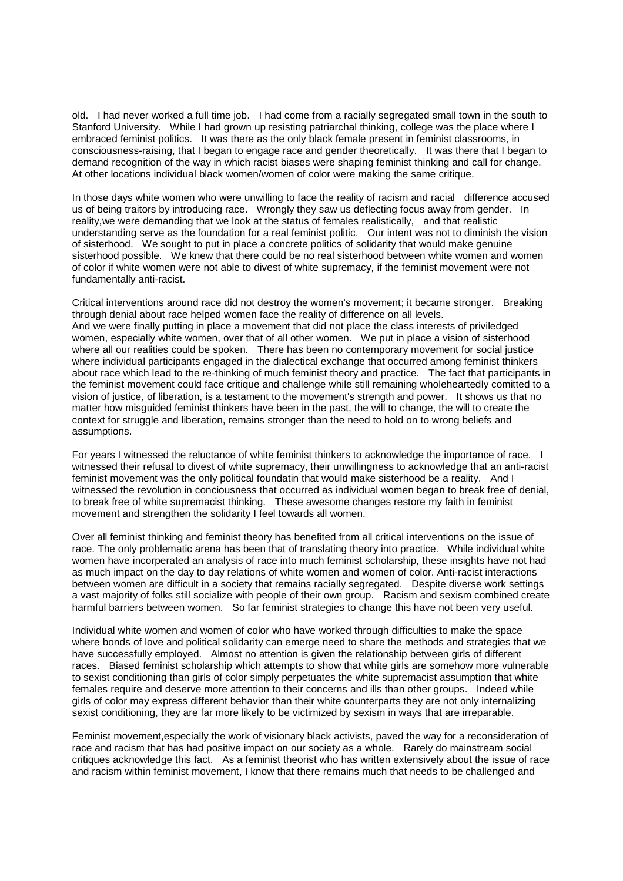old. I had never worked a full time job. I had come from a racially segregated small town in the south to Stanford University. While I had grown up resisting patriarchal thinking, college was the place where I embraced feminist politics. It was there as the only black female present in feminist classrooms, in consciousness-raising, that I began to engage race and gender theoretically. It was there that I began to demand recognition of the way in which racist biases were shaping feminist thinking and call for change. At other locations individual black women/women of color were making the same critique.

In those days white women who were unwilling to face the reality of racism and racial difference accused us of being traitors by introducing race. Wrongly they saw us deflecting focus away from gender. In reality,we were demanding that we look at the status of females realistically, and that realistic understanding serve as the foundation for a real feminist politic. Our intent was not to diminish the vision of sisterhood. We sought to put in place a concrete politics of solidarity that would make genuine sisterhood possible. We knew that there could be no real sisterhood between white women and women of color if white women were not able to divest of white supremacy, if the feminist movement were not fundamentally anti-racist.

Critical interventions around race did not destroy the women's movement; it became stronger. Breaking through denial about race helped women face the reality of difference on all levels. And we were finally putting in place a movement that did not place the class interests of priviledged women, especially white women, over that of all other women. We put in place a vision of sisterhood where all our realities could be spoken. There has been no contemporary movement for social justice where individual participants engaged in the dialectical exchange that occurred among feminist thinkers about race which lead to the re-thinking of much feminist theory and practice. The fact that participants in the feminist movement could face critique and challenge while still remaining wholeheartedly comitted to a vision of justice, of liberation, is a testament to the movement's strength and power. It shows us that no matter how misguided feminist thinkers have been in the past, the will to change, the will to create the context for struggle and liberation, remains stronger than the need to hold on to wrong beliefs and assumptions.

For years I witnessed the reluctance of white feminist thinkers to acknowledge the importance of race. I witnessed their refusal to divest of white supremacy, their unwillingness to acknowledge that an anti-racist feminist movement was the only political foundatin that would make sisterhood be a reality. And I witnessed the revolution in conciousness that occurred as individual women began to break free of denial, to break free of white supremacist thinking. These awesome changes restore my faith in feminist movement and strengthen the solidarity I feel towards all women.

Over all feminist thinking and feminist theory has benefited from all critical interventions on the issue of race. The only problematic arena has been that of translating theory into practice. While individual white women have incorperated an analysis of race into much feminist scholarship, these insights have not had as much impact on the day to day relations of white women and women of color. Anti-racist interactions between women are difficult in a society that remains racially segregated. Despite diverse work settings a vast majority of folks still socialize with people of their own group. Racism and sexism combined create harmful barriers between women. So far feminist strategies to change this have not been very useful.

Individual white women and women of color who have worked through difficulties to make the space where bonds of love and political solidarity can emerge need to share the methods and strategies that we have successfully employed. Almost no attention is given the relationship between girls of different races. Biased feminist scholarship which attempts to show that white girls are somehow more vulnerable to sexist conditioning than girls of color simply perpetuates the white supremacist assumption that white females require and deserve more attention to their concerns and ills than other groups. Indeed while girls of color may express different behavior than their white counterparts they are not only internalizing sexist conditioning, they are far more likely to be victimized by sexism in ways that are irreparable.

Feminist movement,especially the work of visionary black activists, paved the way for a reconsideration of race and racism that has had positive impact on our society as a whole. Rarely do mainstream social critiques acknowledge this fact. As a feminist theorist who has written extensively about the issue of race and racism within feminist movement, I know that there remains much that needs to be challenged and